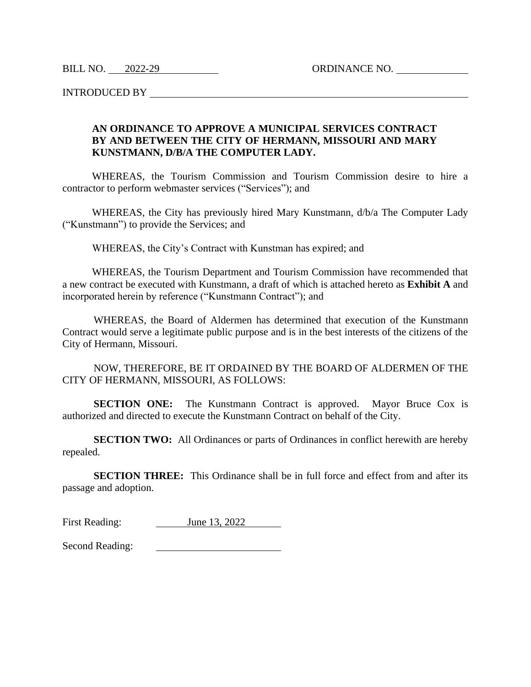BILL NO. 2022-29 ORDINANCE NO.

INTRODUCED BY

## **AN ORDINANCE TO APPROVE A MUNICIPAL SERVICES CONTRACT BY AND BETWEEN THE CITY OF HERMANN, MISSOURI AND MARY KUNSTMANN, D/B/A THE COMPUTER LADY.**

WHEREAS, the Tourism Commission and Tourism Commission desire to hire a contractor to perform webmaster services ("Services"); and

WHEREAS, the City has previously hired Mary Kunstmann, d/b/a The Computer Lady ("Kunstmann") to provide the Services; and

WHEREAS, the City's Contract with Kunstman has expired; and

WHEREAS, the Tourism Department and Tourism Commission have recommended that a new contract be executed with Kunstmann, a draft of which is attached hereto as **Exhibit A** and incorporated herein by reference ("Kunstmann Contract"); and

WHEREAS, the Board of Aldermen has determined that execution of the Kunstmann Contract would serve a legitimate public purpose and is in the best interests of the citizens of the City of Hermann, Missouri.

NOW, THEREFORE, BE IT ORDAINED BY THE BOARD OF ALDERMEN OF THE CITY OF HERMANN, MISSOURI, AS FOLLOWS:

**SECTION ONE:** The Kunstmann Contract is approved. Mayor Bruce Cox is authorized and directed to execute the Kunstmann Contract on behalf of the City.

**SECTION TWO:** All Ordinances or parts of Ordinances in conflict herewith are hereby repealed.

**SECTION THREE:** This Ordinance shall be in full force and effect from and after its passage and adoption.

First Reading: June 13, 2022

Second Reading:<u> 1980 - Johann Barbara, martin a</u>